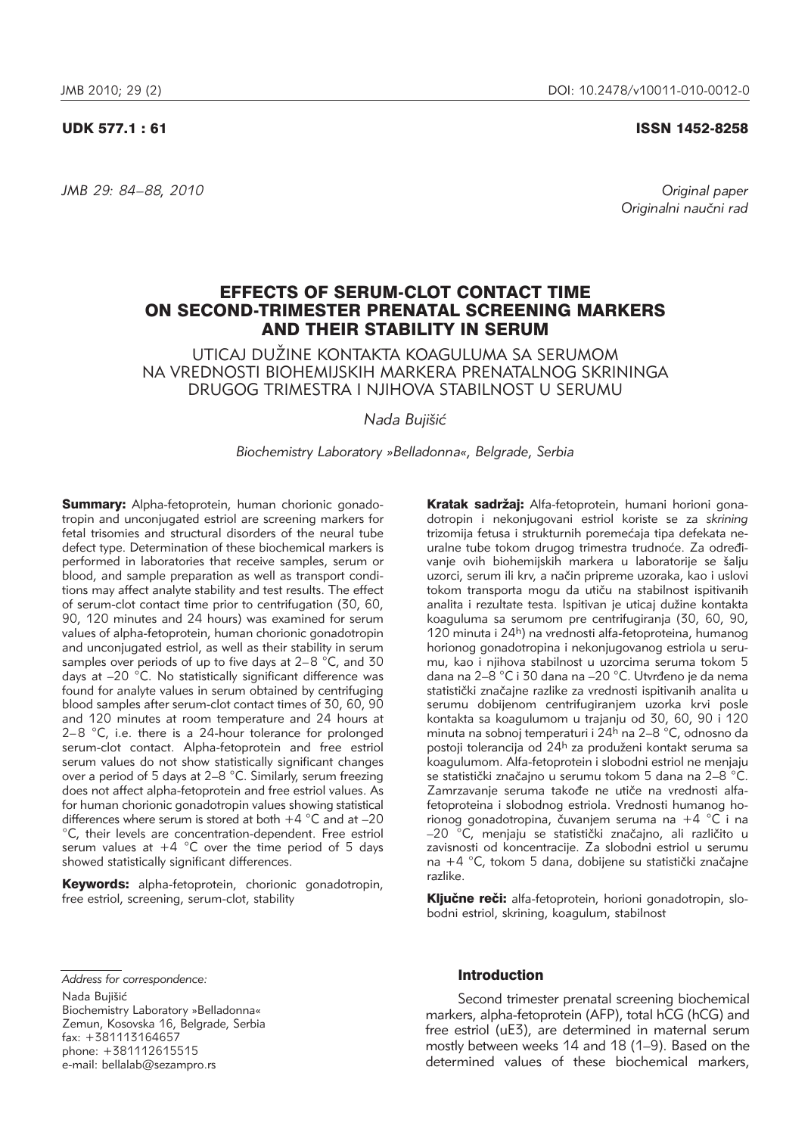# UDK 577.1 : 61 ISSN 1452-8258

*JMB 29: 84–88, 2010 Original paper*

Originalni naučni rad

# EFFECTS OF SERUM-CLOT CONTACT TIME ON SECOND-TRIMESTER PRENATAL SCREENING MARKERS AND THEIR STABILITY IN SERUM

UTICAJ DUŽINE KONTAKTA KOAGULUMA SA SERUMOM NA VREDNOSTI BIOHEMIJSKIH MARKERA PRENATALNOG SKRININGA DRUGOG TRIMESTRA I NJIHOVA STABILNOST U SERUMU

*Nada Buji{i}*

*Biochemistry Laboratory »Belladonna«, Belgrade, Serbia*

Summary: Alpha-fetoprotein, human chorionic gonadotropin and unconjugated estriol are screening markers for fetal trisomies and structural disorders of the neural tube defect type. Determination of these biochemical markers is performed in laboratories that receive samples, serum or blood, and sample preparation as well as transport conditions may affect analyte stability and test results. The effect of serum-clot contact time prior to centrifugation (30, 60, 90, 120 minutes and 24 hours) was examined for serum values of alpha-fetoprotein, human chorionic gonadotropin and unconjugated estriol, as well as their stability in serum samples over periods of up to five days at  $2-8$  °C, and 30 days at –20 °C. No statistically significant difference was found for analyte values in serum obtained by centrifuging blood samples after serum-clot contact times of 30, 60, 90 and 120 minutes at room temperature and 24 hours at 2–8 °C, i.e. there is a 24-hour tolerance for prolonged serum-clot contact. Alpha-fetoprotein and free estriol serum values do not show statistically significant changes over a period of 5 days at 2–8 °C. Similarly, serum freezing does not affect alpha-fetoprotein and free estriol values. As for human chorionic gonadotropin values showing statistical differences where serum is stored at both  $+4$  °C and at –20 <sup>°</sup>C, their levels are concentration-dependent. Free estriol serum values at  $+4$  °C over the time period of 5 days showed statistically significant differences.

Keywords: alpha-fetoprotein, chorionic gonadotropin, free estriol, screening, serum-clot, stability

Kratak sadržaj: Alfa-fetoprotein, humani horioni gonadotropin i nekonjugovani estriol koriste se za *skrining* trizomija fetusa i strukturnih poremećaja tipa defekata neuralne tube tokom drugog trimestra trudnoće. Za određivanje ovih biohemijskih markera u laboratorije se šalju uzorci, serum ili krv, a način pripreme uzoraka, kao i uslovi tokom transporta mogu da utiču na stabilnost ispitivanih analita i rezultate testa. Ispitivan je uticaj dužine kontakta koaguluma sa serumom pre centrifugiranja (30, 60, 90, 120 minuta i 24h) na vrednosti alfa-fetoproteina, humanog horionog gonadotropina i nekonjugovanog estriola u serumu, kao i njihova stabilnost u uzorcima seruma tokom 5 dana na 2–8 °C i 30 dana na –20 °C. Utvrđeno je da nema statistički značajne razlike za vrednosti ispitivanih analita u serumu dobijenom centrifugiranjem uzorka krvi posle kontakta sa koagulumom u trajanju od 30, 60, 90 i 120 minuta na sobnoj temperaturi i 24h na 2–8 °C, odnosno da postoji tolerancija od 24<sup>h</sup> za produženi kontakt seruma sa koagulumom. Alfa-fetoprotein i slobodni estriol ne menjaju se statistički značajno u serumu tokom 5 dana na 2–8 °C. Zamrzavanje seruma takođe ne utiče na vrednosti alfafetoproteina i slobodnog estriola. Vrednosti humanog horionog gonadotropina, čuvanjem seruma na +4  $^{\circ}$ C i na –20 °C, menjaju se statistički značajno, ali različito u zavisnosti od koncentracije. Za slobodni estriol u serumu na +4  $^{\circ}$ C, tokom 5 dana, dobijene su statistički značajne razlike.

Ključne reči: alfa-fetoprotein, horioni gonadotropin, slobodni estriol, skrining, koagulum, stabilnost

*Address for correspondence:*

Nada Bujišić Biochemistry Laboratory »Belladonna« Zemun, Kosovska 16, Belgrade, Serbia fax: +381113164657 phone: +381112615515 e-mail: bellalab@sezampro.rs

# Introduction

Second trimester prenatal screening biochemical markers, alpha-fetoprotein (AFP), total hCG (hCG) and free estriol (uE3), are determined in maternal serum mostly between weeks 14 and 18 (1–9). Based on the determined values of these biochemical markers,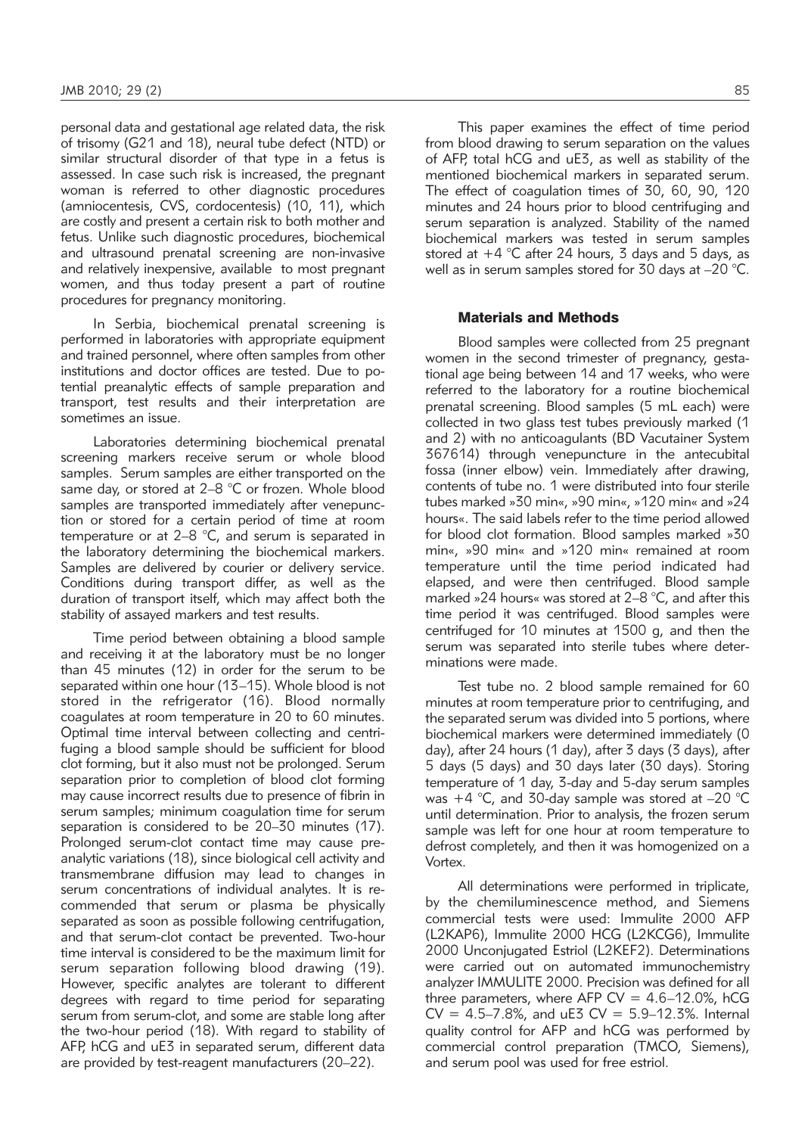personal data and gestational age related data, the risk of trisomy (G21 and 18), neural tube defect (NTD) or similar structural disorder of that type in a fetus is assessed. In case such risk is increased, the pregnant woman is referred to other diagnostic procedures (amniocentesis, CVS, cordocentesis) (10, 11), which are costly and present a certain risk to both mother and fetus. Unlike such diagnostic procedures, biochemical and ultrasound prenatal screening are non-invasive and relatively inexpensive, available to most pregnant women, and thus today present a part of routine procedures for pregnancy monitoring.

In Serbia, biochemical prenatal screening is performed in laboratories with appropriate equipment and trained personnel, where often samples from other institutions and doctor offices are tested. Due to potential preanalytic effects of sample preparation and transport, test results and their interpretation are sometimes an issue.

Laboratories determining biochemical prenatal screening markers receive serum or whole blood samples. Serum samples are either transported on the same day, or stored at 2–8 °C or frozen. Whole blood samples are transported immediately after venepunction or stored for a certain period of time at room temperature or at 2–8 °C, and serum is separated in the laboratory determining the biochemical markers. Samples are delivered by courier or delivery service. Conditions during transport differ, as well as the duration of transport itself, which may affect both the stability of assayed markers and test results.

Time period between obtaining a blood sample and receiving it at the laboratory must be no longer than 45 minutes (12) in order for the serum to be separated within one hour (13–15). Whole blood is not stored in the refrigerator (16). Blood normally coagulates at room temperature in 20 to 60 minutes. Optimal time interval between collecting and centrifuging a blood sample should be sufficient for blood clot forming, but it also must not be prolonged. Serum separation prior to completion of blood clot forming may cause incorrect results due to presence of fibrin in serum samples; minimum coagulation time for serum separation is considered to be 20–30 minutes (17). Prolonged serum-clot contact time may cause preanalytic variations (18), since biological cell activity and transmembrane diffusion may lead to changes in serum concentrations of individual analytes. It is recommended that serum or plasma be physically separated as soon as possible following centrifugation, and that serum-clot contact be prevented. Two-hour time interval is considered to be the maximum limit for serum separation following blood drawing (19). However, specific analytes are tolerant to different degrees with regard to time period for separating serum from serum-clot, and some are stable long after the two-hour period (18). With regard to stability of AFP, hCG and uE3 in separated serum, different data are provided by test-reagent manufacturers (20–22).

This paper examines the effect of time period from blood drawing to serum separation on the values of AFP, total hCG and uE3, as well as stability of the mentioned biochemical markers in separated serum. The effect of coagulation times of 30, 60, 90, 120 minutes and 24 hours prior to blood centrifuging and serum separation is analyzed. Stability of the named biochemical markers was tested in serum samples stored at  $+4$  °C after 24 hours, 3 days and 5 days, as well as in serum samples stored for 30 days at –20 °C.

### Materials and Methods

Blood samples were collected from 25 pregnant women in the second trimester of pregnancy, gestational age being between 14 and 17 weeks, who were referred to the laboratory for a routine biochemical prenatal screening. Blood samples (5 mL each) were collected in two glass test tubes previously marked (1 and 2) with no anticoagulants (BD Vacutainer System 367614) through venepuncture in the antecubital fossa (inner elbow) vein. Immediately after drawing, contents of tube no. 1 were distributed into four sterile tubes marked »30 min«, »90 min«, »120 min« and »24 hours«. The said labels refer to the time period allowed for blood clot formation. Blood samples marked »30 min«, »90 min« and »120 min« remained at room temperature until the time period indicated had elapsed, and were then centrifuged. Blood sample marked »24 hours« was stored at 2–8 °C, and after this time period it was centrifuged. Blood samples were centrifuged for 10 minutes at 1500 g, and then the serum was separated into sterile tubes where determinations were made.

Test tube no. 2 blood sample remained for 60 minutes at room temperature prior to centrifuging, and the separated serum was divided into 5 portions, where biochemical markers were determined immediately (0 day), after 24 hours (1 day), after 3 days (3 days), after 5 days (5 days) and 30 days later (30 days). Storing temperature of 1 day, 3-day and 5-day serum samples was  $+4$  °C, and 30-day sample was stored at  $-20$  °C until determination. Prior to analysis, the frozen serum sample was left for one hour at room temperature to defrost completely, and then it was homogenized on a Vortex.

All determinations were performed in triplicate, by the chemiluminescence method, and Siemens commercial tests were used: Immulite 2000 AFP (L2KAP6), Immulite 2000 HCG (L2KCG6), Immulite 2000 Unconjugated Estriol (L2KEF2). Determinations were carried out on automated immunochemistry analyzer IMMULITE 2000. Precision was defined for all three parameters, where AFP  $CV = 4.6-12.0\%$ , hCG  $CV = 4.5 - 7.8\%$ , and uE3  $CV = 5.9 - 12.3\%$ . Internal quality control for AFP and hCG was performed by commercial control preparation (TMCO, Siemens), and serum pool was used for free estriol.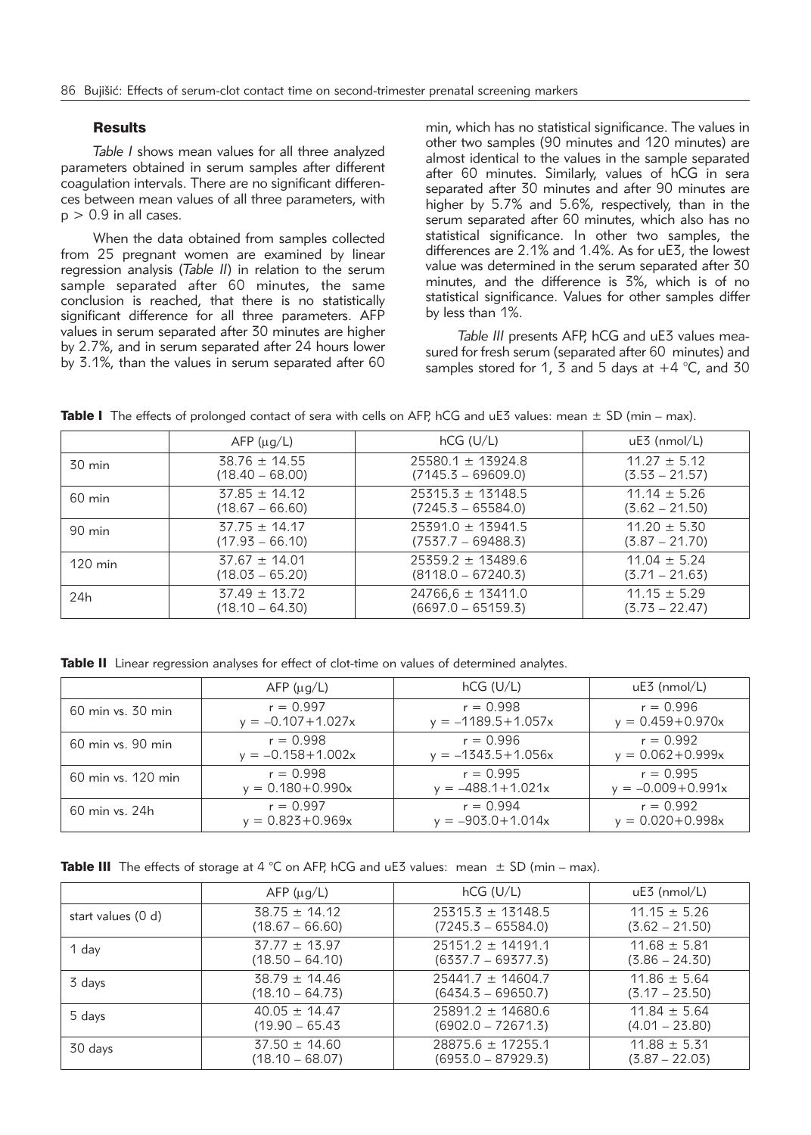# **Results**

*Table I* shows mean values for all three analyzed parameters obtained in serum samples after different coagulation intervals. There are no significant differences between mean values of all three parameters, with  $p > 0.9$  in all cases.

When the data obtained from samples collected from 25 pregnant women are examined by linear regression analysis (*Table II*) in relation to the serum sample separated after 60 minutes, the same conclusion is reached, that there is no statistically significant difference for all three parameters. AFP values in serum separated after 30 minutes are higher by 2.7%, and in serum separated after 24 hours lower by 3.1%, than the values in serum separated after 60

min, which has no statistical significance. The values in other two samples (90 minutes and 120 minutes) are almost identical to the values in the sample separated after 60 minutes. Similarly, values of hCG in sera separated after 30 minutes and after 90 minutes are higher by 5.7% and 5.6%, respectively, than in the serum separated after 60 minutes, which also has no statistical significance. In other two samples, the differences are 2.1% and 1.4%. As for uE3, the lowest value was determined in the serum separated after 30 minutes, and the difference is 3%, which is of no statistical significance. Values for other samples differ by less than 1%.

Table III presents AFP, hCG and uE3 values measured for fresh serum (separated after 60 minutes) and samples stored for 1, 3 and 5 days at  $+4$  °C, and 30

**Table I** The effects of prolonged contact of sera with cells on AFP, hCG and  $\mu$ E3 values: mean  $\pm$  SD (min – max).

|                   | $AFP$ ( $\mu$ g/L) | $hCG$ (U/L)           | $uE3$ (nmol/L)   |
|-------------------|--------------------|-----------------------|------------------|
| $30 \text{ min}$  | $38.76 \pm 14.55$  | $25580.1 \pm 13924.8$ | $11.27 \pm 5.12$ |
|                   | $(18.40 - 68.00)$  | $(7145.3 - 69609.0)$  | $(3.53 - 21.57)$ |
| $60 \text{ min}$  | $37.85 \pm 14.12$  | $25315.3 \pm 13148.5$ | $11.14 \pm 5.26$ |
|                   | $(18.67 - 66.60)$  | $(7245.3 - 65584.0)$  | $(3.62 - 21.50)$ |
| 90 min            | $37.75 \pm 14.17$  | $25391.0 \pm 13941.5$ | $11.20 \pm 5.30$ |
|                   | $(17.93 - 66.10)$  | $(7537.7 - 69488.3)$  | $(3.87 - 21.70)$ |
| $120 \text{ min}$ | $37.67 \pm 14.01$  | $25359.2 \pm 13489.6$ | $11.04 \pm 5.24$ |
|                   | $(18.03 - 65.20)$  | $(8118.0 - 67240.3)$  | $(3.71 - 21.63)$ |
| 24 <sub>h</sub>   | $37.49 \pm 13.72$  | $24766.6 \pm 13411.0$ | $11.15 \pm 5.29$ |
|                   | $(18.10 - 64.30)$  | $(6697.0 - 65159.3)$  | $(3.73 - 22.47)$ |

Table II Linear regression analyses for effect of clot-time on values of determined analytes.

|                    | $AFP$ ( $\mu$ g/L)    | $hCG$ (U/L)            | uE3 (nmol/L)          |
|--------------------|-----------------------|------------------------|-----------------------|
| 60 min vs. 30 min  | $r = 0.997$           | $r = 0.998$            | $r = 0.996$           |
|                    | $y = -0.107 + 1.027x$ | $y = -1189.5 + 1.057x$ | $y = 0.459 + 0.970x$  |
| 60 min vs. 90 min  | $r = 0.998$           | $r = 0.996$            | $r = 0.992$           |
|                    | $y = -0.158 + 1.002x$ | $y = -1343.5 + 1.056x$ | $y = 0.062 + 0.999x$  |
| 60 min vs. 120 min | $r = 0.998$           | $r = 0.995$            | $r = 0.995$           |
|                    | $y = 0.180 + 0.990x$  | $y = -488.1 + 1.021x$  | $y = -0.009 + 0.991x$ |
| 60 min vs. 24h     | $r = 0.997$           | $r = 0.994$            | $r = 0.992$           |
|                    | $y = 0.823 + 0.969x$  | $y = -903.0 + 1.014x$  | $y = 0.020 + 0.998x$  |

|  |  |  |  | <b>Table III</b> The effects of storage at 4 °C on AFP, hCG and uE3 values: mean $\pm$ SD (min – max). |
|--|--|--|--|--------------------------------------------------------------------------------------------------------|
|--|--|--|--|--------------------------------------------------------------------------------------------------------|

|                       | $AFP$ ( $\mu$ g/L) | $hCG$ (U/L)           | $uE3$ (nmol/L)   |
|-----------------------|--------------------|-----------------------|------------------|
| start values $(0, d)$ | $38.75 \pm 14.12$  | $25315.3 \pm 13148.5$ | $11.15 \pm 5.26$ |
|                       | $(18.67 - 66.60)$  | $(7245.3 - 65584.0)$  | $(3.62 - 21.50)$ |
| 1 day                 | $37.77 \pm 13.97$  | $25151.2 \pm 14191.1$ | $11.68 \pm 5.81$ |
|                       | $(18.50 - 64.10)$  | $(6337.7 - 69377.3)$  | (3.86 – 24.30)   |
| 3 days                | $38.79 \pm 14.46$  | $25441.7 \pm 14604.7$ | $11.86 \pm 5.64$ |
|                       | $(18.10 - 64.73)$  | $(6434.3 - 69650.7)$  | $(3.17 - 23.50)$ |
| 5 days                | $40.05 \pm 14.47$  | $25891.2 \pm 14680.6$ | $11.84 \pm 5.64$ |
|                       | $(19.90 - 65.43)$  | $(6902.0 - 72671.3)$  | $(4.01 - 23.80)$ |
| 30 days               | $37.50 \pm 14.60$  | $28875.6 \pm 17255.1$ | $11.88 \pm 5.31$ |
|                       | $(18.10 - 68.07)$  | $(6953.0 - 87929.3)$  | $(3.87 - 22.03)$ |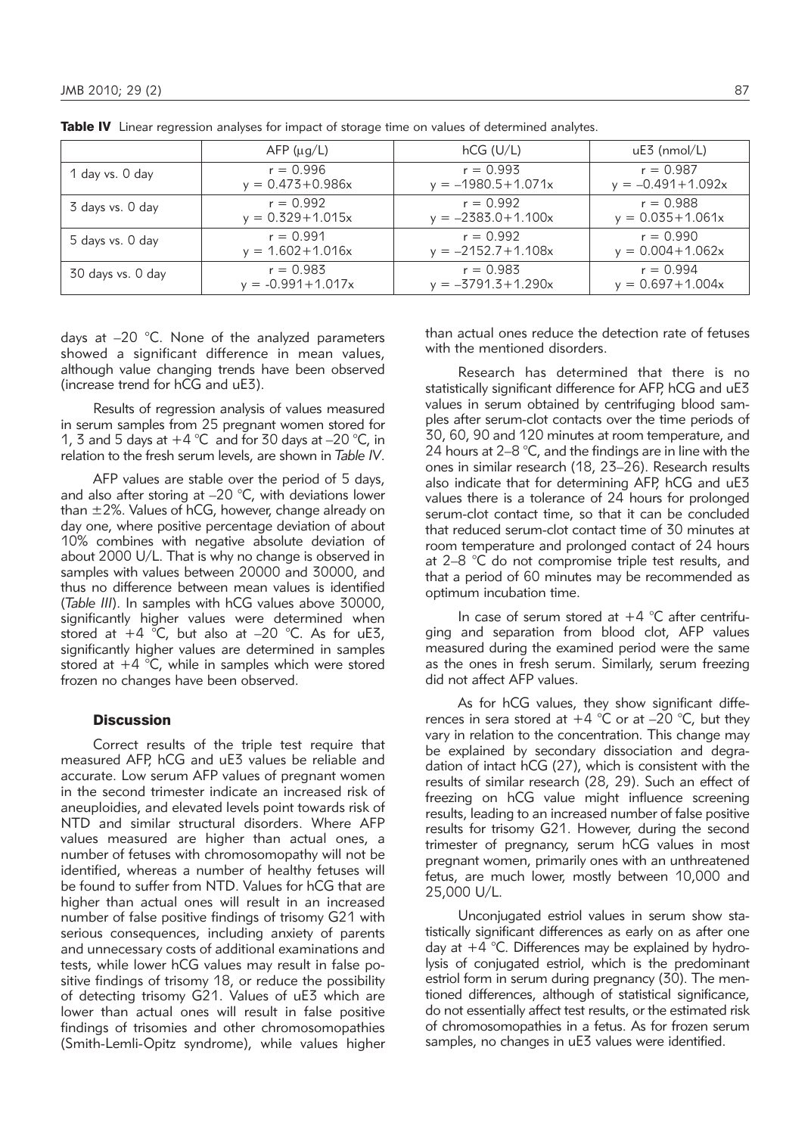|                   | $AFP$ ( $\mu$ g/L)    | $hCG$ (U/L)            | uE3 (nmol/L)          |
|-------------------|-----------------------|------------------------|-----------------------|
| 1 day vs. 0 day   | $r = 0.996$           | $r = 0.993$            | $r = 0.987$           |
|                   | $y = 0.473 + 0.986x$  | $y = -1980.5 + 1.071x$ | $y = -0.491 + 1.092x$ |
| 3 days vs. 0 day  | $r = 0.992$           | $r = 0.992$            | $r = 0.988$           |
|                   | $y = 0.329 + 1.015x$  | $y = -2383.0 + 1.100x$ | $y = 0.035 + 1.061x$  |
| 5 days vs. 0 day  | $r = 0.991$           | $r = 0.992$            | $r = 0.990$           |
|                   | $y = 1.602 + 1.016x$  | $y = -2152.7 + 1.108x$ | $y = 0.004 + 1.062x$  |
| 30 days vs. 0 day | $r = 0.983$           | $r = 0.983$            | $r = 0.994$           |
|                   | $y = -0.991 + 1.017x$ | $y = -3791.5 + 1.290x$ | $y = 0.697 + 1.004x$  |

Table IV Linear regression analyses for impact of storage time on values of determined analytes.

days at –20 °C. None of the analyzed parameters showed a significant difference in mean values, although value changing trends have been observed (increase trend for hCG and uE3).

Results of regression analysis of values measured in serum samples from 25 pregnant women stored for 1, 3 and 5 days at  $+4$  °C and for 30 days at  $-20$  °C, in relation to the fresh serum levels, are shown in *Table IV*.

AFP values are stable over the period of 5 days, and also after storing at –20 °C, with deviations lower than ±2%. Values of hCG, however, change already on day one, where positive percentage deviation of about 10% combines with negative absolute deviation of about 2000 U/L. That is why no change is observed in samples with values between 20000 and 30000, and thus no difference between mean values is identified (*Table III*). In samples with hCG values above 30000, significantly higher values were determined when stored at  $+4$  °C, but also at -20 °C. As for uE3, significantly higher values are determined in samples stored at  $+4$  °C, while in samples which were stored frozen no changes have been observed.

# **Discussion**

Correct results of the triple test require that measured AFP, hCG and uE3 values be reliable and accurate. Low serum AFP values of pregnant women in the second trimester indicate an increased risk of aneuploidies, and elevated levels point towards risk of NTD and similar structural disorders. Where AFP values measured are higher than actual ones, a number of fetuses with chromosomopathy will not be identified, whereas a number of healthy fetuses will be found to suffer from NTD. Values for hCG that are higher than actual ones will result in an increased number of false positive findings of trisomy G21 with serious consequences, including anxiety of parents and unnecessary costs of additional examinations and tests, while lower hCG values may result in false positive findings of trisomy 18, or reduce the possibility of detecting trisomy G21. Values of uE3 which are lower than actual ones will result in false positive findings of trisomies and other chromosomopathies (Smith-Lemli-Opitz syndrome), while values higher than actual ones reduce the detection rate of fetuses with the mentioned disorders.

Research has determined that there is no statistically significant difference for AFP, hCG and uE3 values in serum obtained by centrifuging blood samples after serum-clot contacts over the time periods of 30, 60, 90 and 120 minutes at room temperature, and 24 hours at 2–8 °C, and the findings are in line with the ones in similar research (18, 23–26). Research results also indicate that for determining AFP, hCG and uE3 values there is a tolerance of 24 hours for prolonged serum-clot contact time, so that it can be concluded that reduced serum-clot contact time of 30 minutes at room temperature and prolonged contact of 24 hours at 2–8 °C do not compromise triple test results, and that a period of 60 minutes may be recommended as optimum incubation time.

In case of serum stored at  $+4$  °C after centrifuging and separation from blood clot, AFP values measured during the examined period were the same as the ones in fresh serum. Similarly, serum freezing did not affect AFP values.

As for hCG values, they show significant differences in sera stored at  $+4$  °C or at –20 °C, but they vary in relation to the concentration. This change may be explained by secondary dissociation and degradation of intact hCG (27), which is consistent with the results of similar research (28, 29). Such an effect of freezing on hCG value might influence screening results, leading to an increased number of false positive results for trisomy G21. However, during the second trimester of pregnancy, serum hCG values in most pregnant women, primarily ones with an unthreatened fetus, are much lower, mostly between 10,000 and 25,000 U/L.

Unconjugated estriol values in serum show statistically significant differences as early on as after one day at  $+4$  °C. Differences may be explained by hydrolysis of conjugated estriol, which is the predominant estriol form in serum during pregnancy (30). The mentioned differences, although of statistical significance, do not essentially affect test results, or the estimated risk of chromosomopathies in a fetus. As for frozen serum samples, no changes in uE3 values were identified.